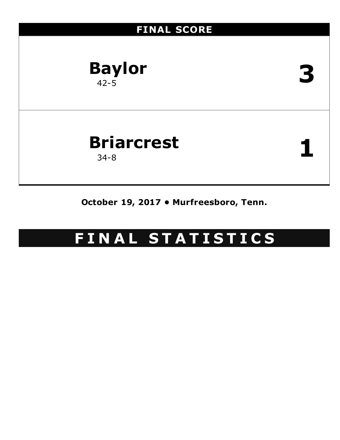

**October 19, 2017 • Murfreesboro, Tenn.**

# **F I N A L S T A T I S T I C S**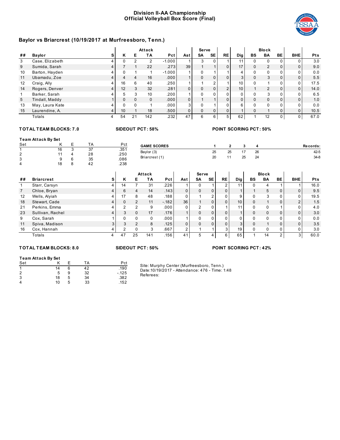# **Division II-AA Championship Official Volleyball Box Score (Final)**



# **Baylor vs Briarcrest (10/19/2017 at Murfreesboro, Tenn.)**

|    |                 |                |                 |    | Attack       |          |                | <b>Serve</b> |                |                |                 |          | <b>Block</b>  |              |            |            |
|----|-----------------|----------------|-----------------|----|--------------|----------|----------------|--------------|----------------|----------------|-----------------|----------|---------------|--------------|------------|------------|
| ## | <b>Baylor</b>   | s              | κ               | Е  | ΤA           | Pct      | Ast            | SΑ           | <b>SE</b>      | <b>RE</b>      | Dig             | BS       | BA            | BE           | <b>BHE</b> | <b>Pts</b> |
| 3  | Case, Elizabeth |                |                 |    | 2            | $-1.000$ |                | 3            | 0              |                | 11              | $\Omega$ | $\mathbf{0}$  | <sup>0</sup> |            | 3.0        |
| 9  | Sumida, Sarah   | 4              |                 |    | 22           | .273     | 39             |              |                | $\overline{0}$ | 17              | $\Omega$ | 2             | 0            | $\Omega$   | 9.0        |
| 10 | Barton, Hayden  |                | $\Omega$        |    |              | $-1.000$ |                |              |                |                | 4               | 0        | $\Omega$      | 0            | $\Omega$   | 0.0        |
| 11 | Ubamadu, Zoe    | 4              | 4               | Δ  | 16           | .000     |                | $\Omega$     | $\mathbf{0}$   | $\Omega$       | 3               | $\Omega$ | 3             | 0            | $\Omega$   | 5.5        |
| 12 | Craig, Ally     | 4              | 16              | 6  | 40           | .250     |                |              | $\overline{2}$ |                | 10              | 0        |               | 0            | $\Omega$   | 17.5       |
| 14 | Rogers, Denver  | 4              | 12              | 3  | 32           | .281     | $\overline{0}$ |              | 0              | 2 <sub>1</sub> | 10 <sub>1</sub> |          | $\mathcal{P}$ | 0            | $\Omega$   | 14.0       |
|    | Barker, Sarah   |                | 5               | 3  | 10           | .200     |                |              | $\Omega$       | $\Omega$       |                 | 0        | 3             | U            |            | 6.5        |
| 5  | Tindall, Maddy  |                | $\Omega$        |    | $\mathbf{0}$ | .000     | $\overline{0}$ |              |                | $\Omega$       | $\Omega$        | $\Omega$ | $\Omega$      | 0            | $\Omega$   | 1.0        |
| 13 | May, Laura Kate |                | $\Omega$        |    |              | .000     | 3 <sup>1</sup> |              |                | 0              | 6               | $\Omega$ | $\Omega$      | U            | $\Omega$   | 0.0        |
| 15 | Laurendine, A.  | $\overline{4}$ | 10 <sup>°</sup> |    | 18           | .500     | $\overline{0}$ | $\Omega$     | $\mathbf{0}$   | $\Omega$       |                 | $\Omega$ |               | $\Omega$     | $\Omega$   | 10.5       |
|    | Totals          |                | 54              | 21 | 142          | .232     | 47             | 6            | 6              | 5 <sub>1</sub> | 62              |          | 12            | 0            | 0          | 67.0       |

# **TOT AL TEAM BLOCKS: 7.0 SIDEOUT PCT: 58% POINT SCORING PCT: 50%**

| <b>Team Attack By Set</b> |    |   |              |      |                    |    |    |     |    |          |
|---------------------------|----|---|--------------|------|--------------------|----|----|-----|----|----------|
| Set                       |    |   | ТA           | Pct  | <b>GAME SCORES</b> |    |    |     |    | Records: |
|                           | 16 |   | $\sim$<br>ັບ | .351 |                    |    |    | , – |    |          |
| ົ<br>∼                    |    |   | 28           | .250 | Baylor (3)         | 25 | 25 |     | 26 | $42 - 5$ |
| J.<br>◡                   |    | 6 | 35           | .086 | Briarcrest (1)     | 20 |    | 25  | 24 | $34-8$   |
| 4                         | 18 |   | 42           | .238 |                    |    |    |     |    |          |

|                   |                   |   |          |               | Attack   |            |                | <b>Serve</b> |              |          |                 |             | <b>Block</b> |    |            |            |
|-------------------|-------------------|---|----------|---------------|----------|------------|----------------|--------------|--------------|----------|-----------------|-------------|--------------|----|------------|------------|
| ##                | <b>Briarcrest</b> | s | Κ        | Е             | TA       | <b>Pct</b> | Ast            | SA           | <b>SE</b>    | RE       | <b>Dig</b>      | BS          | BA           | BE | <b>BHE</b> | <b>Pts</b> |
|                   | Starr, Carsyn     |   | 14       |               | 31       | .226       |                | 0            |              |          | 11              | 0           | 4            |    |            | 16.0       |
| $\overline{7}$    | Chloe, Bryan      |   | 6        |               | 14       | .143       | 0              | $\Omega$     | $\mathbf{0}$ | $\Omega$ |                 |             | 5            |    | 0          | 9.5        |
| $12 \overline{ }$ | Wells, Alviah     |   | 17       | 8             | 48       | .188       | 0              |              | 2            | 0        | 9               | 0           | 3            |    | 0          | 19.5       |
| 18                | Stewart, Cade     |   | $\Omega$ |               | 11       | $-.182$    | 36             |              | 0            |          | 10 <sub>1</sub> | $\mathbf 0$ |              |    | 2          | 1.5        |
| 21                | Perkins, Emma     |   | ົ        | ົ             | 9        | .000       | 0              | 2            | $\Omega$     |          | 11              | $\Omega$    | 0            |    | 0          | 4.0        |
| 23                | Sullivan, Rachel  |   | 3        | $\Omega$      | 17       | .176       |                | $\Omega$     | 0            | 0        |                 | $\Omega$    | $\Omega$     |    | $\Omega$   | 3.0        |
| 9                 | Cox, Sarah        |   | $\Omega$ |               | $\Omega$ | .000       |                |              | $\Omega$     |          |                 | 0           | 0            |    | 0          | 0.0        |
| 11                | Spiva, Madison    |   | 3        | $\mathcal{P}$ | 8        | .125       | 0              | $\Omega$     | $\Omega$     | $\Omega$ | $\overline{3}$  | $\Omega$    |              |    | $\Omega$   | 3.5        |
| 16                | Cox, Hannah       |   | c        |               | 3        | .667       | $\overline{2}$ |              |              |          | 19 <sub>1</sub> | $\Omega$    | 0            |    | 0          | 3.0        |
|                   | Totals            | 4 | 47       | 25            | 141      | .156       | 41             | 5            | 4            | ĥ.       | 65              |             | 14           | ົ  | 3          | 60.0       |

#### **TOT AL TEAM BLOCKS: 8.0 SIDEOUT PCT: 50% POINT SCORING PCT: 42%**

#### **Team Attack By Set**

| Set                     |    |   | ТA | Pct    |
|-------------------------|----|---|----|--------|
| $\overline{\mathbf{A}}$ | 14 | 6 | 42 | .190   |
| 2                       | 5  | 9 | 32 | $-125$ |
| 3                       | 18 | 5 | 34 | .382   |
| 4                       | 10 | 5 | 33 | .152   |

Site: Murphy Center (Murfreesboro, Tenn.)

Date:10/19/2017 - Attendance: 476 - Time: 1:48 Referees: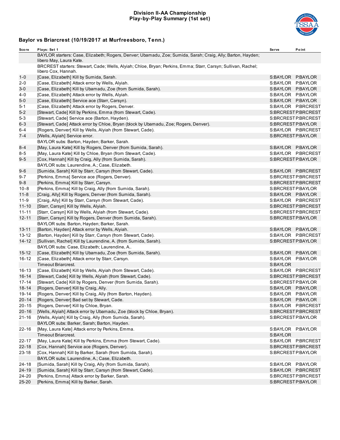### **Division II-AA Championship Play-by-Play Summary (1st set)**



| Score     | Plays: Set 1                                                                                                                           | <b>Serve</b>      | Point              |
|-----------|----------------------------------------------------------------------------------------------------------------------------------------|-------------------|--------------------|
|           | BAYLOR starters: Case, Elizabeth; Rogers, Denver; Ubamadu, Zoe; Sumida, Sarah; Craig, Ally; Barton, Hayden;<br>libero May, Laura Kate. |                   |                    |
|           | BRCREST starters: Stewart, Cade; Wells, Alyiah; Chloe, Bryan; Perkins, Emma; Starr, Carsyn; Sullivan, Rachel;<br>libero Cox, Hannah.   |                   |                    |
| $1 - 0$   | [Case, Elizabeth] Kill by Sumida, Sarah.                                                                                               | S:BAYLOR P:BAYLOR |                    |
| 2-0       | [Case, Elizabeth] Attack error by Wells, Alyiah.                                                                                       | S:BAYLOR P:BAYLOR |                    |
| $3-0$     | [Case, Elizabeth] Kill by Ubamadu, Zoe (from Sumida, Sarah).                                                                           | S:BAYLOR P:BAYLOR |                    |
| $4 - 0$   | [Case, Elizabeth] Attack error by Wells, Alyiah.                                                                                       | S:BAYLOR P:BAYLOR |                    |
| $5-0$     | [Case, Elizabeth] Service ace (Starr, Carsyn).                                                                                         |                   | S:BAYLOR P:BAYLOR  |
| 5-1       | [Case, Elizabeth] Attack error by Rogers, Denver.                                                                                      |                   | S:BAYLOR P:BRCREST |
| $5 - 2$   | [Stewart, Cade] Kill by Perkins, Emma (from Stewart, Cade).                                                                            |                   | S:BRCRESTP:BRCREST |
| $5 - 3$   | [Stewart, Cade] Service ace (Barton, Hayden).                                                                                          |                   | S:BRCRESTP:BRCREST |
| $6 - 3$   | [Stewart, Cade] Attack error by Chloe, Bryan (block by Ubamadu, Zoe; Rogers, Denver).                                                  |                   | S:BRCRESTP:BAYLOR  |
| 6-4       | [Rogers, Denver] Kill by Wells, Alyiah (from Stewart, Cade).                                                                           |                   | S:BAYLOR P:BRCREST |
| $7 - 4$   | [Wells, Alyiah] Service error.                                                                                                         |                   | S:BRCRESTP:BAYLOR  |
|           | BAYLOR subs: Barton, Hayden; Barker, Sarah.                                                                                            |                   |                    |
| $8 - 4$   | [May, Laura Kate] Kill by Rogers, Denver (from Sumida, Sarah).                                                                         |                   | S:BAYLOR P:BAYLOR  |
| 8-5       | [May, Laura Kate] Kill by Chloe, Bryan (from Stewart, Cade).                                                                           |                   | S:BAYLOR P:BRCREST |
| $9 - 5$   | [Cox, Hannah] Kill by Craig, Ally (from Sumida, Sarah).                                                                                |                   | S:BRCRESTP:BAYLOR  |
|           | BAYLOR subs: Laurendine, A.; Case, Elizabeth.                                                                                          |                   |                    |
| $9-6$     | [Sumida, Sarah] Kill by Starr, Carsyn (from Stewart, Cade).                                                                            |                   | S:BAYLOR P:BRCREST |
| 9-7       | [Perkins, Emma] Service ace (Rogers, Denver).                                                                                          |                   | S:BRCRESTP:BRCREST |
| $9 - 8$   | [Perkins, Emma] Kill by Starr, Carsyn.                                                                                                 |                   | S:BRCRESTP:BRCREST |
| $10 - 8$  | [Perkins, Emma] Kill by Craig, Ally (from Sumida, Sarah).                                                                              |                   | S:BRCRESTP:BAYLOR  |
| $11 - 8$  | [Craig, Ally] Kill by Rogers, Denver (from Sumida, Sarah).                                                                             |                   | S:BAYLOR P:BAYLOR  |
| $11 - 9$  | [Craig, Ally] Kill by Starr, Carsyn (from Stewart, Cade).                                                                              |                   | S:BAYLOR P:BRCREST |
| $11 - 10$ | [Starr, Carsyn] Kill by Wells, Alyiah.                                                                                                 |                   | S:BRCRESTP:BRCREST |
| $11 - 11$ | [Starr, Carsyn] Kill by Wells, Alyiah (from Stewart, Cade).                                                                            |                   | S:BRCRESTP:BRCREST |
| $12 - 11$ | [Starr, Carsyn] Kill by Rogers, Denver (from Sumida, Sarah).                                                                           |                   | S:BRCRESTP:BAYLOR  |
|           | BAYLOR subs: Barton, Hayden; Barker, Sarah.                                                                                            |                   |                    |
| $13 - 11$ | [Barton, Hayden] Attack error by Wells, Alyiah.                                                                                        |                   | S:BAYLOR P:BAYLOR  |
| $13 - 12$ | [Barton, Hayden] Kill by Starr, Carsyn (from Stewart, Cade).                                                                           |                   | S:BAYLOR P:BRCREST |
| $14 - 12$ | [Sullivan, Rachel] Kill by Laurendine, A. (from Sumida, Sarah).                                                                        | S:BRCRESTP:BAYLOR |                    |
|           | BAYLOR subs: Case, Elizabeth; Laurendine, A                                                                                            |                   |                    |
| 15-12     | [Case, Elizabeth] Kill by Ubamadu, Zoe (from Sumida, Sarah).                                                                           | S:BAYLOR P:BAYLOR |                    |
| $16 - 12$ | [Case, Elizabeth] Attack error by Starr, Carsyn.                                                                                       | S:BAYLOR P:BAYLOR |                    |
|           | Timeout Briarcrest.                                                                                                                    | S:BAYLOR          |                    |
| $16 - 13$ | [Case, Elizabeth] Kill by Wells, Alyiah (from Stewart, Cade).                                                                          |                   | S:BAYLOR P:BRCREST |
| $16 - 14$ | [Stewart, Cade] Kill by Wells, Alyiah (from Stewart, Cade).                                                                            |                   | S:BRCRESTP:BRCREST |
| $17 - 14$ | [Stewart, Cade] Kill by Rogers, Denver (from Sumida, Sarah).                                                                           |                   | S:BRCRESTP:BAYLOR  |
| $18 - 14$ | [Rogers, Denver] Kill by Craig, Ally.                                                                                                  | S:BAYLOR P:BAYLOR |                    |
| 19-14     | [Rogers, Denver] Kill by Craig, Ally (from Barton, Hayden).                                                                            |                   | S:BAYLOR P:BAYLOR  |
| $20 - 14$ | [Rogers, Denver] Bad set by Stewart, Cade.                                                                                             | S:BAYLOR P:BAYLOR |                    |
| $20 - 15$ | [Rogers, Denver] Kill by Chloe, Bryan.                                                                                                 |                   | S:BAYLOR P:BRCREST |
| $20 - 16$ | [Wells, Alyiah] Attack error by Ubamadu, Zoe (block by Chloe, Bryan).                                                                  |                   | S:BRCRESTP:BRCREST |
| $21 - 16$ | [Wells, Alyiah] Kill by Craig, Ally (from Sumida, Sarah).                                                                              | S:BRCRESTP:BAYLOR |                    |
|           | BAYLOR subs: Barker, Sarah; Barton, Hayden.                                                                                            |                   |                    |
| 22-16     | [May, Laura Kate] Attack error by Perkins, Emma.                                                                                       | S:BAYLOR P:BAYLOR |                    |
|           | <b>Timeout Briarcrest.</b>                                                                                                             | S:BAYLOR          |                    |
| $22 - 17$ | [May, Laura Kate] Kill by Perkins, Emma (from Stewart, Cade).                                                                          |                   | S:BAYLOR P:BRCREST |
| $22 - 18$ | [Cox, Hannah] Service ace (Rogers, Denver).                                                                                            |                   | S:BRCRESTP:BRCREST |
| $23 - 18$ | [Cox, Hannah] Kill by Barker, Sarah (from Sumida, Sarah).                                                                              | S:BRCRESTP:BAYLOR |                    |
|           | BAYLOR subs: Laurendine, A.; Case, Elizabeth.                                                                                          |                   |                    |
| $24 - 18$ | [Sumida, Sarah] Kill by Craig, Ally (from Sumida, Sarah).                                                                              | S:BAYLOR P:BAYLOR |                    |
| 24-19     | [Sumida, Sarah] Kill by Starr, Carsyn (from Stewart, Cade).                                                                            |                   | S:BAYLOR P:BRCREST |
| 24-20     | [Perkins, Emma] Attack error by Barker, Sarah.                                                                                         |                   | S:BRCRESTP:BRCREST |
| 25-20     | [Perkins, Emma] Kill by Barker, Sarah.                                                                                                 |                   | S:BRCRESTP:BAYLOR  |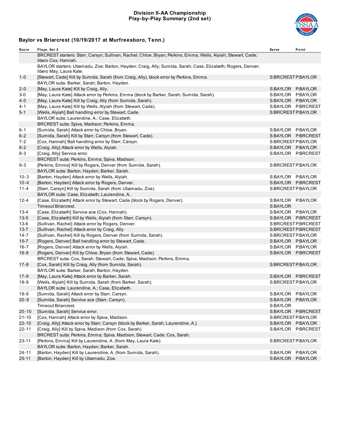## **Division II-AA Championship Play-by-Play Summary (2nd set)**



| Score     | Plays: Set 2                                                                                                                           | <b>Serve</b>      | Point              |
|-----------|----------------------------------------------------------------------------------------------------------------------------------------|-------------------|--------------------|
|           | BRCREST starters: Starr, Carsyn; Sullivan, Rachel; Chloe, Bryan; Perkins, Emma; Wells, Alyiah; Stewart, Cade;<br>libero Cox, Hannah.   |                   |                    |
|           | BAYLOR starters: Ubamadu, Zoe; Barton, Hayden; Craig, Ally; Sumida, Sarah; Case, Elizabeth; Rogers, Denver;<br>libero May, Laura Kate. |                   |                    |
| $1 - 0$   | [Stewart, Cade] Kill by Sumida, Sarah (from Craig, Ally), block error by Perkins, Emma.                                                | S:BRCRESTP:BAYLOR |                    |
|           | BAYLOR subs: Barker, Sarah; Barton, Hayden.                                                                                            |                   |                    |
| $2 - 0$   | [May, Laura Kate] Kill by Craig, Ally.                                                                                                 | S:BAYLOR P:BAYLOR |                    |
| $3 - 0$   | [May, Laura Kate] Attack error by Perkins, Emma (block by Barker, Sarah; Sumida, Sarah).                                               | S:BAYLOR P:BAYLOR |                    |
| $4 - 0$   | [May, Laura Kate] Kill by Craig, Ally (from Sumida, Sarah).                                                                            | S:BAYLOR P:BAYLOR |                    |
| 4-1       | [May, Laura Kate] Kill by Wells, Alyiah (from Stewart, Cade).                                                                          |                   | S:BAYLOR P:BRCREST |
| $5 - 1$   | [Wells, Alyiah] Ball handling error by Stewart, Cade.                                                                                  | S:BRCRESTP:BAYLOR |                    |
|           | BAYLOR subs: Laurendine, A.; Case, Elizabeth.                                                                                          |                   |                    |
|           | BRCREST subs: Spiva, Madison; Perkins, Emma.                                                                                           |                   |                    |
| $6 - 1$   | [Sumida, Sarah] Attack error by Chloe, Bryan.                                                                                          | S:BAYLOR P:BAYLOR |                    |
| $6 - 2$   | [Sumida, Sarah] Kill by Starr, Carsyn (from Stewart, Cade).                                                                            |                   | S:BAYLOR P:BRCREST |
| $7 - 2$   | [Cox, Hannah] Ball handling error by Starr, Carsyn.                                                                                    | S:BRCRESTP:BAYLOR |                    |
| $8 - 2$   | [Craig, Ally] Attack error by Wells, Alyiah.                                                                                           | S:BAYLOR P:BAYLOR |                    |
| 8-3       | [Craig, Ally] Service error.                                                                                                           |                   | S:BAYLOR P:BRCREST |
|           | BRCREST subs: Perkins, Emma; Spiva, Madison.                                                                                           |                   |                    |
| $9 - 3$   | [Perkins, Emma] Kill by Rogers, Denver (from Sumida, Sarah).                                                                           | S:BRCRESTP:BAYLOR |                    |
|           | BAYLOR subs: Barton, Hayden; Barker, Sarah.                                                                                            |                   |                    |
| $10 - 3$  | [Barton, Hayden] Attack error by Wells, Alyiah.                                                                                        | S:BAYLOR P:BAYLOR |                    |
| $10 - 4$  | [Barton, Hayden] Attack error by Rogers, Denver.                                                                                       |                   | S:BAYLOR P:BRCREST |
| $11 - 4$  | [Starr, Carsyn] Kill by Sumida, Sarah (from Ubamadu, Zoe).                                                                             | S:BRCRESTP:BAYLOR |                    |
|           | BAYLOR subs: Case, Elizabeth; Laurendine, A                                                                                            |                   |                    |
| $12 - 4$  | [Case, Elizabeth] Attack error by Stewart, Cade (block by Rogers, Denver).                                                             | S:BAYLOR P:BAYLOR |                    |
|           | <b>Timeout Briarcrest.</b>                                                                                                             | S:BAYLOR          |                    |
| $13 - 4$  | [Case, Elizabeth] Service ace (Cox, Hannah).                                                                                           | S:BAYLOR P:BAYLOR |                    |
| $13 - 5$  | [Case, Elizabeth] Kill by Wells, Alyiah (from Starr, Carsyn).                                                                          |                   | S:BAYLOR P:BRCREST |
| $13-6$    | [Sullivan, Rachel] Attack error by Rogers, Denver.                                                                                     |                   | S:BRCRESTP:BRCREST |
| $13 - 7$  | [Sullivan, Rachel] Attack error by Craig, Ally.                                                                                        |                   | S:BRCRESTP:BRCREST |
| $14 - 7$  | [Sullivan, Rachel] Kill by Rogers, Denver (from Sumida, Sarah).                                                                        | S:BRCRESTP:BAYLOR |                    |
| $15 - 7$  | [Rogers, Denver] Ball handling error by Stewart, Cade.                                                                                 | S:BAYLOR P:BAYLOR |                    |
| $16 - 7$  | [Rogers, Denver] Attack error by Wells, Alyiah.                                                                                        | S:BAYLOR P:BAYLOR |                    |
| $16 - 8$  | [Rogers, Denver] Kill by Chloe, Bryan (from Stewart, Cade).                                                                            |                   | S:BAYLOR P:BRCREST |
|           | BRCREST subs: Cox, Sarah; Stewart, Cade; Spiva, Madison; Perkins, Emma.                                                                |                   |                    |
| $17 - 8$  | [Cox, Sarah] Kill by Craig, Ally (from Sumida, Sarah).                                                                                 | S:BRCRESTP:BAYLOR |                    |
|           | BAYLOR subs: Barker, Sarah; Barton, Hayden.                                                                                            |                   |                    |
| $17-9$    | [May, Laura Kate] Attack error by Barker, Sarah.                                                                                       |                   | S:BAYLOR P:BRCREST |
| 18-9      | [Wells, Alyiah] Kill by Sumida, Sarah (from Barker, Sarah).                                                                            | S:BRCRESTP:BAYLOR |                    |
|           | BAYLOR subs: Laurendine, A.; Case, Elizabeth.                                                                                          |                   |                    |
| 19-9      | [Sumida, Sarah] Attack error by Starr, Carsyn.                                                                                         | S:BAYLOR P:BAYLOR |                    |
| $20 - 9$  | [Sumida, Sarah] Service ace (Starr, Carsyn).                                                                                           | S:BAYLOR P:BAYLOR |                    |
|           | <b>Timeout Briarcrest.</b>                                                                                                             | S:BAYLOR          |                    |
| $20 - 10$ | [Sumida, Sarah] Service error.                                                                                                         |                   | S:BAYLOR P:BRCREST |
| $21 - 10$ | [Cox, Hannah] Attack error by Spiva, Madison.                                                                                          | S:BRCRESTP:BAYLOR |                    |
| 22-10     | [Craig, Ally] Attack error by Starr, Carsyn (block by Barker, Sarah; Laurendine, A.).                                                  | S:BAYLOR P:BAYLOR |                    |
| $22 - 11$ | [Craig, Ally] Kill by Spiva, Madison (from Cox, Sarah).                                                                                |                   | S:BAYLOR P:BRCREST |
|           | BRCREST subs: Perkins, Emma; Spiva, Madison; Stewart, Cade; Cox, Sarah.                                                                |                   |                    |
| $23 - 11$ | [Perkins, Emma] Kill by Laurendine, A. (from May, Laura Kate).                                                                         | S:BRCRESTP:BAYLOR |                    |
|           | BAYLOR subs: Barton, Hayden; Barker, Sarah.                                                                                            |                   |                    |
| 24-11     | [Barton, Hayden] Kill by Laurendine, A. (from Sumida, Sarah).                                                                          | S:BAYLOR P:BAYLOR |                    |
| $25 - 11$ | [Barton, Hayden] Kill by Ubamadu, Zoe.                                                                                                 | S:BAYLOR P:BAYLOR |                    |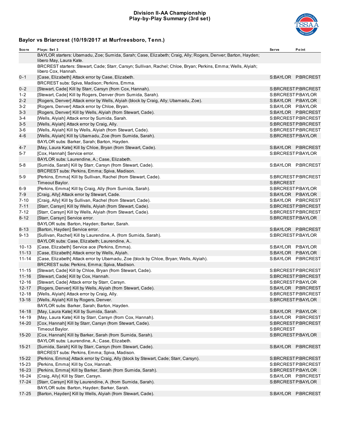## **Division II-AA Championship Play-by-Play Summary (3rd set)**



| Score     | Plays: Set 3                                                                                                                           | Serve     | Point              |
|-----------|----------------------------------------------------------------------------------------------------------------------------------------|-----------|--------------------|
|           | BAYLOR starters: Ubamadu, Zoe; Sumida, Sarah; Case, Elizabeth; Craig, Ally; Rogers, Denver; Barton, Hayden;<br>libero May, Laura Kate. |           |                    |
|           | BRCREST starters: Stewart, Cade; Starr, Carsyn; Sullivan, Rachel; Chloe, Bryan; Perkins, Emma; Wells, Alyiah;<br>libero Cox, Hannah.   |           |                    |
| $0 - 1$   | [Case, Elizabeth] Attack error by Case, Elizabeth.                                                                                     |           | S:BAYLOR P:BRCREST |
|           | BRCREST subs: Spiva, Madison; Perkins, Emma.                                                                                           |           |                    |
| $0 - 2$   | [Stewart, Cade] Kill by Starr, Carsyn (from Cox, Hannah).                                                                              |           | S:BRCRESTP:BRCREST |
| $1 - 2$   | [Stewart, Cade] Kill by Rogers, Denver (from Sumida, Sarah).                                                                           |           | S:BRCRESTP:BAYLOR  |
| $2 - 2$   | [Rogers, Denver] Attack error by Wells, Alyiah (block by Craig, Ally; Ubamadu, Zoe).                                                   |           | S:BAYLOR P:BAYLOR  |
| $3 - 2$   | [Rogers, Denver] Attack error by Chloe, Bryan.                                                                                         |           | S:BAYLOR P:BAYLOR  |
| $3 - 3$   | [Rogers, Denver] Kill by Wells, Alyiah (from Stewart, Cade).                                                                           |           | S:BAYLOR P:BRCREST |
| $3 - 4$   | [Wells, Alyiah] Attack error by Sumida, Sarah.                                                                                         |           | S:BRCRESTP:BRCREST |
| $3-5$     | [Wells, Alyiah] Attack error by Craig, Ally.                                                                                           |           | S:BRCRESTP:BRCREST |
| 3-6       | [Wells, Alyiah] Kill by Wells, Alyiah (from Stewart, Cade).                                                                            |           | S:BRCRESTP:BRCREST |
| $4 - 6$   | [Wells, Alyiah] Kill by Ubamadu, Zoe (from Sumida, Sarah).                                                                             |           | S:BRCRESTP:BAYLOR  |
|           | BAYLOR subs: Barker, Sarah; Barton, Hayden.                                                                                            |           |                    |
| 4-7       | [May, Laura Kate] Kill by Chloe, Bryan (from Stewart, Cade).                                                                           |           | S:BAYLOR P:BRCREST |
| 5-7       | [Cox, Hannah] Service error.                                                                                                           |           | S:BRCRESTP:BAYLOR  |
|           | BAYLOR subs: Laurendine, A.; Case, Elizabeth.                                                                                          |           |                    |
| $5 - 8$   | [Sumida, Sarah] Kill by Starr, Carsyn (from Stewart, Cade).                                                                            |           | S:BAYLOR P:BRCREST |
|           | BRCREST subs: Perkins, Emma; Spiva, Madison.                                                                                           |           |                    |
| 5-9       | [Perkins, Emma] Kill by Sullivan, Rachel (from Stewart, Cade).                                                                         |           | S:BRCRESTP:BRCREST |
|           | Timeout Baylor.                                                                                                                        | S:BRCREST |                    |
| 6-9       | [Perkins, Emma] Kill by Craig, Ally (from Sumida, Sarah).                                                                              |           | S:BRCRESTP:BAYLOR  |
| 7-9       | [Craig, Ally] Attack error by Stewart, Cade.                                                                                           |           | S:BAYLOR P:BAYLOR  |
| $7 - 10$  | [Craig, Ally] Kill by Sullivan, Rachel (from Stewart, Cade).                                                                           |           | S:BAYLOR P:BRCREST |
| $7 - 11$  | [Starr, Carsyn] Kill by Wells, Alyiah (from Stewart, Cade).                                                                            |           | S:BRCRESTP:BRCREST |
| $7 - 12$  | [Starr, Carsyn] Kill by Wells, Alyiah (from Stewart, Cade).                                                                            |           | S:BRCRESTP:BRCREST |
| $8 - 12$  | [Starr, Carsyn] Service error.                                                                                                         |           | S:BRCRESTP:BAYLOR  |
|           | BAYLOR subs: Barton, Hayden; Barker, Sarah.                                                                                            |           |                    |
| $8 - 13$  | [Barton, Hayden] Service error.                                                                                                        |           | S:BAYLOR P:BRCREST |
| $9 - 13$  | [Sullivan, Rachel] Kill by Laurendine, A. (from Sumida, Sarah).                                                                        |           | S:BRCRESTP:BAYLOR  |
|           | BAYLOR subs: Case, Elizabeth; Laurendine, A                                                                                            |           |                    |
| $10 - 13$ | [Case, Elizabeth] Service ace (Perkins, Emma).                                                                                         |           | S:BAYLOR P:BAYLOR  |
| $11 - 13$ | [Case, Elizabeth] Attack error by Wells, Alyiah.                                                                                       |           | S:BAYLOR P:BAYLOR  |
| $11 - 14$ | [Case, Elizabeth] Attack error by Ubamadu, Zoe (block by Chloe, Bryan; Wells, Alyiah).                                                 |           | S:BAYLOR P:BRCREST |
|           | BRCREST subs: Perkins, Emma; Spiva, Madison.                                                                                           |           |                    |
| $11 - 15$ | [Stewart, Cade] Kill by Chloe, Bryan (from Stewart, Cade).                                                                             |           | S:BRCRESTP:BRCREST |
| $11 - 16$ | [Stewart, Cade] Kill by Cox, Hannah.                                                                                                   |           | S:BRCRESTP:BRCREST |
| $12 - 16$ | [Stewart, Cade] Attack error by Starr, Carsyn.                                                                                         |           | S:BRCRESTP:BAYLOR  |
| $12 - 17$ | [Rogers, Denver] Kill by Wells, Alyiah (from Stewart, Cade).                                                                           |           | S:BAYLOR P:BRCREST |
| $12 - 18$ | [Wells, Alyiah] Attack error by Craig, Ally.                                                                                           |           | S:BRCRESTP:BRCREST |
| $13 - 18$ | [Wells, Alyiah] Kill by Rogers, Denver.                                                                                                |           | S:BRCRESTP:BAYLOR  |
|           | BAYLOR subs: Barker, Sarah; Barton, Hayden.                                                                                            |           |                    |
| $14 - 18$ | [May, Laura Kate] Kill by Sumida, Sarah.                                                                                               |           | S:BAYLOR P:BAYLOR  |
| $14 - 19$ | [May, Laura Kate] Kill by Starr, Carsyn (from Cox, Hannah).                                                                            |           | S:BAYLOR P.BRCREST |
| $14 - 20$ | [Cox, Hannah] Kill by Starr, Carsyn (from Stewart, Cade).                                                                              |           | S:BRCRESTP:BRCREST |
|           | Timeout Baylor.                                                                                                                        | S:BRCREST |                    |
| $15 - 20$ | [Cox, Hannah] Kill by Barker, Sarah (from Sumida, Sarah).<br>BAYLOR subs: Laurendine, A.; Case, Elizabeth.                             |           | S:BRCRESTP:BAYLOR  |
| $15 - 21$ | [Sumida, Sarah] Kill by Starr, Carsyn (from Stewart, Cade).                                                                            |           | S:BAYLOR P.BRCREST |
|           | BRCREST subs: Perkins, Emma; Spiva, Madison.                                                                                           |           |                    |
| $15 - 22$ | [Perkins, Emma] Attack error by Craig, Ally (block by Stewart, Cade; Starr, Carsyn).                                                   |           | S:BRCRESTP:BRCREST |
| $15 - 23$ | [Perkins, Emma] Kill by Cox, Hannah.                                                                                                   |           | S:BRCRESTP:BRCREST |
| $16 - 23$ | [Perkins, Emma] Kill by Barker, Sarah (from Sumida, Sarah).                                                                            |           | S:BRCRESTP:BAYLOR  |
| $16 - 24$ | [Craig, Ally] Kill by Starr, Carsyn.                                                                                                   |           | S:BAYLOR P.BRCREST |
| $17 - 24$ | [Starr, Carsyn] Kill by Laurendine, A. (from Sumida, Sarah).                                                                           |           | S:BRCRESTP:BAYLOR  |
|           | BAYLOR subs: Barton, Hayden; Barker, Sarah.                                                                                            |           |                    |
| 17-25     | [Barton, Hayden] Kill by Wells, Alyiah (from Stewart, Cade).                                                                           |           | S:BAYLOR P:BRCREST |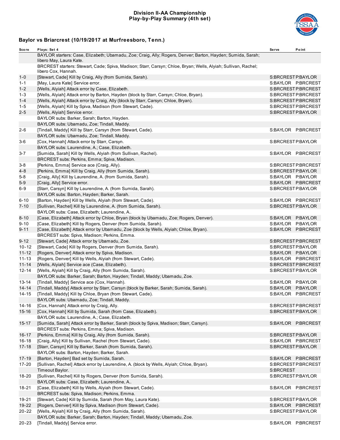## **Division II-AA Championship Play-by-Play Summary (4th set)**



| Score     | Plays: Set 4                                                                                                                           | <b>Serve</b> | Point              |
|-----------|----------------------------------------------------------------------------------------------------------------------------------------|--------------|--------------------|
|           | BAYLOR starters: Case, Elizabeth; Ubamadu, Zoe; Craig, Ally; Rogers, Denver; Barton, Hayden; Sumida, Sarah;<br>libero May, Laura Kate. |              |                    |
|           | BRCREST starters: Stewart, Cade; Spiva, Madison; Starr, Carsyn; Chloe, Bryan; Wells, Alyiah; Sullivan, Rachel;<br>libero Cox, Hannah.  |              |                    |
| $1 - 0$   | [Stewart, Cade] Kill by Craig, Ally (from Sumida, Sarah).                                                                              |              | S:BRCRESTP:BAYLOR  |
| $1 - 1$   | [May, Laura Kate] Service error.                                                                                                       |              | S:BAYLOR P:BRCREST |
| $1 - 2$   | [Wells, Alyiah] Attack error by Case, Elizabeth.                                                                                       |              | S:BRCRESTP:BRCREST |
| 1-3       | [Wells, Alyiah] Attack error by Barton, Hayden (block by Starr, Carsyn; Chloe, Bryan).                                                 |              | S:BRCRESTP:BRCREST |
| $1 - 4$   | [Wells, Alyiah] Attack error by Craig, Ally (block by Starr, Carsyn; Chloe, Bryan).                                                    |              | S:BRCRESTP:BRCREST |
| $1 - 5$   | [Wells, Alyiah] Kill by Spiva, Madison (from Stewart, Cade).                                                                           |              | S:BRCRESTP:BRCREST |
| $2 - 5$   | [Wells, Alyiah] Service error.                                                                                                         |              | S:BRCRESTP:BAYLOR  |
|           | BAYLOR subs: Barker, Sarah; Barton, Hayden.                                                                                            |              |                    |
|           | BAYLOR subs: Ubamadu, Zoe; Tindall, Maddy.                                                                                             |              |                    |
| 2-6       | [Tindall, Maddy] Kill by Starr, Carsyn (from Stewart, Cade).                                                                           |              | S:BAYLOR P:BRCREST |
|           | BAYLOR subs: Ubamadu, Zoe; Tindall, Maddy.                                                                                             |              |                    |
| 3-6       | [Cox, Hannah] Attack error by Starr, Carsyn.                                                                                           |              | S:BRCRESTP:BAYLOR  |
|           | BAYLOR subs: Laurendine, A.; Case, Elizabeth.                                                                                          |              |                    |
| 3-7       | [Sumida, Sarah] Kill by Wells, Alyiah (from Sullivan, Rachel).                                                                         |              | S:BAYLOR P:BRCREST |
|           | BRCREST subs: Perkins, Emma; Spiva, Madison.                                                                                           |              |                    |
| 3-8       | [Perkins, Emma] Service ace (Craig, Ally).                                                                                             |              | S:BRCRESTP:BRCREST |
| 4-8       | [Perkins, Emma] Kill by Craig, Ally (from Sumida, Sarah).                                                                              |              | S:BRCRESTP:BAYLOR  |
| 5-8       | [Craig, Ally] Kill by Laurendine, A. (from Sumida, Sarah).                                                                             |              | S:BAYLOR P:BAYLOR  |
| $5-9$     | [Craig, Ally] Service error.                                                                                                           |              | S:BAYLOR P.BRCREST |
| 6-9       | [Starr, Carsyn] Kill by Laurendine, A. (from Sumida, Sarah).                                                                           |              | S:BRCRESTP:BAYLOR  |
|           | BAYLOR subs: Barton, Hayden; Barker, Sarah.                                                                                            |              |                    |
| $6 - 10$  | [Barton, Hayden] Kill by Wells, Alyiah (from Stewart, Cade).                                                                           |              | S:BAYLOR P:BRCREST |
| $7 - 10$  | [Sullivan, Rachel] Kill by Laurendine, A. (from Sumida, Sarah).                                                                        |              | S:BRCRESTP:BAYLOR  |
|           | BAYLOR subs: Case, Elizabeth; Laurendine, A                                                                                            |              |                    |
| $8 - 10$  | [Case, Elizabeth] Attack error by Chloe, Bryan (block by Ubamadu, Zoe; Rogers, Denver).                                                |              | S:BAYLOR P:BAYLOR  |
| $9 - 10$  | [Case, Elizabeth] Kill by Rogers, Denver (from Sumida, Sarah).                                                                         |              | S:BAYLOR P:BAYLOR  |
| $9 - 11$  | [Case, Elizabeth] Attack error by Ubamadu, Zoe (block by Wells, Alyiah; Chloe, Bryan).                                                 |              | S:BAYLOR P:BRCREST |
|           | BRCREST subs: Spiva, Madison; Perkins, Emma.                                                                                           |              |                    |
| $9 - 12$  | [Stewart, Cade] Attack error by Ubamadu, Zoe.                                                                                          |              | S:BRCRESTP:BRCREST |
| $10 - 12$ | [Stewart, Cade] Kill by Rogers, Denver (from Sumida, Sarah).                                                                           |              | S:BRCRESTP:BAYLOR  |
| $11 - 12$ | [Rogers, Denver] Attack error by Spiva, Madison.                                                                                       |              | S:BAYLOR P:BAYLOR  |
| $11 - 13$ | [Rogers, Denver] Kill by Wells, Alyiah (from Stewart, Cade).                                                                           |              | S:BAYLOR P:BRCREST |
| $11 - 14$ | [Wells, Alyiah] Service ace (Case, Elizabeth).                                                                                         |              | S:BRCRESTP:BRCREST |
| $12 - 14$ | [Wells, Alyiah] Kill by Craig, Ally (from Sumida, Sarah).                                                                              |              | S:BRCRESTP:BAYLOR  |
|           | BAYLOR subs: Barker, Sarah; Barton, Hayden; Tindall, Maddy; Ubamadu, Zoe.                                                              |              |                    |
| 13-14     | [Tindall, Maddy] Service ace (Cox, Hannah).                                                                                            |              | S:BAYLOR P:BAYLOR  |
| $14 - 14$ | [Tindall, Maddy] Attack error by Starr, Carsyn (block by Barker, Sarah; Sumida, Sarah).                                                |              | S:BAYLOR P:BAYLOR  |
| $14 - 15$ | [Tindall, Maddy] Kill by Chloe, Bryan (from Stewart, Cade).                                                                            |              | S:BAYLOR P:BRCREST |
|           | BAYLOR subs: Ubamadu, Zoe; Tindall, Maddy.                                                                                             |              |                    |
| 14-16     | [Cox, Hannah] Attack error by Craig, Ally.                                                                                             |              | S:BRCRESTP:BRCREST |
| $15 - 16$ | [Cox, Hannah] Kill by Sumida, Sarah (from Case, Elizabeth).                                                                            |              | S:BRCRESTP:BAYLOR  |
|           | BAYLOR subs: Laurendine, A.; Case, Elizabeth.                                                                                          |              |                    |
| $15 - 17$ | [Sumida, Sarah] Attack error by Barker, Sarah (block by Spiva, Madison; Starr, Carsyn).                                                |              | S:BAYLOR P:BRCREST |
|           | BRCREST subs: Perkins, Emma; Spiva, Madison.                                                                                           |              |                    |
| $16 - 17$ | [Perkins, Emma] Kill by Craig, Ally (from Sumida, Sarah).                                                                              |              | S:BRCRESTP:BAYLOR  |
| $16 - 18$ | [Craig, Ally] Kill by Sullivan, Rachel (from Stewart, Cade).                                                                           |              | S:BAYLOR P:BRCREST |
| $17 - 18$ | [Starr, Carsyn] Kill by Barker, Sarah (from Sumida, Sarah).                                                                            |              | S:BRCRESTP:BAYLOR  |
|           | BAYLOR subs: Barton, Hayden; Barker, Sarah.                                                                                            |              |                    |
| $17 - 19$ | [Barton, Hayden] Bad set by Sumida, Sarah.                                                                                             |              | S:BAYLOR P:BRCREST |
| 17-20     | [Sullivan, Rachel] Attack error by Laurendine, A. (block by Wells, Alyiah; Chloe, Bryan).                                              |              | S:BRCRESTP:BRCREST |
|           | Timeout Baylor.                                                                                                                        | S:BRCREST    |                    |
| 18-20     | [Sullivan, Rachel] Kill by Rogers, Denver (from Sumida, Sarah).                                                                        |              | S:BRCRESTP:BAYLOR  |
|           | BAYLOR subs: Case, Elizabeth; Laurendine, A                                                                                            |              |                    |
| 18-21     | [Case, Elizabeth] Kill by Wells, Alyiah (from Stewart, Cade).                                                                          |              | S:BAYLOR P:BRCREST |
|           | BRCREST subs: Spiva, Madison; Perkins, Emma.                                                                                           |              |                    |
| 19-21     | [Stewart, Cade] Kill by Sumida, Sarah (from May, Laura Kate).                                                                          |              | S:BRCRESTP:BAYLOR  |
| 19-22     | [Rogers, Denver] Kill by Spiva, Madison (from Stewart, Cade).                                                                          |              | S:BAYLOR P.BRCREST |
| $20 - 22$ | [Wells, Alyiah] Kill by Craig, Ally (from Sumida, Sarah).                                                                              |              | S:BRCRESTP:BAYLOR  |
|           | BAYLOR subs: Barker, Sarah; Barton, Hayden; Tindall, Maddy; Ubamadu, Zoe.                                                              |              |                    |
| $20 - 23$ | [Tindall, Maddy] Service error.                                                                                                        |              | S:BAYLOR P.BRCREST |
|           |                                                                                                                                        |              |                    |